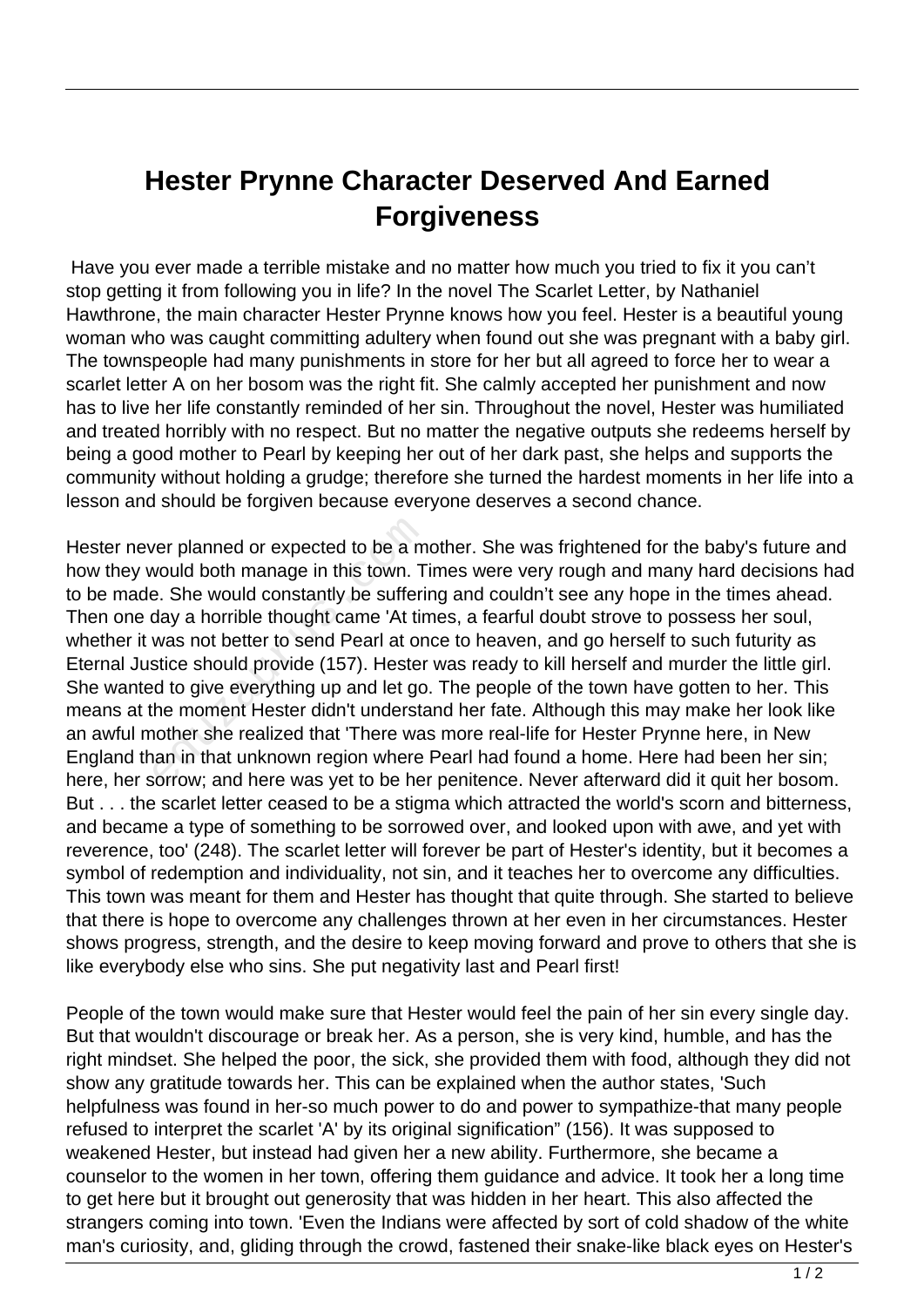## **Hester Prynne Character Deserved And Earned Forgiveness**

 Have you ever made a terrible mistake and no matter how much you tried to fix it you can't stop getting it from following you in life? In the novel The Scarlet Letter, by Nathaniel Hawthrone, the main character Hester Prynne knows how you feel. Hester is a beautiful young woman who was caught committing adultery when found out she was pregnant with a baby girl. The townspeople had many punishments in store for her but all agreed to force her to wear a scarlet letter A on her bosom was the right fit. She calmly accepted her punishment and now has to live her life constantly reminded of her sin. Throughout the novel, Hester was humiliated and treated horribly with no respect. But no matter the negative outputs she redeems herself by being a good mother to Pearl by keeping her out of her dark past, she helps and supports the community without holding a grudge; therefore she turned the hardest moments in her life into a lesson and should be forgiven because everyone deserves a second chance.

Hester never planned or expected to be a mother. She was frightened for the baby's future and how they would both manage in this town. Times were very rough and many hard decisions had to be made. She would constantly be suffering and couldn't see any hope in the times ahead. Then one day a horrible thought came 'At times, a fearful doubt strove to possess her soul, whether it was not better to send Pearl at once to heaven, and go herself to such futurity as Eternal Justice should provide (157). Hester was ready to kill herself and murder the little girl. She wanted to give everything up and let go. The people of the town have gotten to her. This means at the moment Hester didn't understand her fate. Although this may make her look like an awful mother she realized that 'There was more real-life for Hester Prynne here, in New England than in that unknown region where Pearl had found a home. Here had been her sin; here, her sorrow; and here was yet to be her penitence. Never afterward did it quit her bosom. But . . . the scarlet letter ceased to be a stigma which attracted the world's scorn and bitterness, and became a type of something to be sorrowed over, and looked upon with awe, and yet with reverence, too' (248). The scarlet letter will forever be part of Hester's identity, but it becomes a symbol of redemption and individuality, not sin, and it teaches her to overcome any difficulties. This town was meant for them and Hester has thought that quite through. She started to believe that there is hope to overcome any challenges thrown at her even in her circumstances. Hester shows progress, strength, and the desire to keep moving forward and prove to others that she is like everybody else who sins. She put negativity last and Pearl first! ver planned or expected to be a m<br>vould both manage in this town. T<br>e. She would constantly be sufferit<br>day a horrible thought came 'At tin<br>was not better to send Pearl at on<br>stice should provide (157). Hester<br>d to give ev

People of the town would make sure that Hester would feel the pain of her sin every single day. But that wouldn't discourage or break her. As a person, she is very kind, humble, and has the right mindset. She helped the poor, the sick, she provided them with food, although they did not show any gratitude towards her. This can be explained when the author states, 'Such helpfulness was found in her-so much power to do and power to sympathize-that many people refused to interpret the scarlet 'A' by its original signification" (156). It was supposed to weakened Hester, but instead had given her a new ability. Furthermore, she became a counselor to the women in her town, offering them guidance and advice. It took her a long time to get here but it brought out generosity that was hidden in her heart. This also affected the strangers coming into town. 'Even the Indians were affected by sort of cold shadow of the white man's curiosity, and, gliding through the crowd, fastened their snake-like black eyes on Hester's